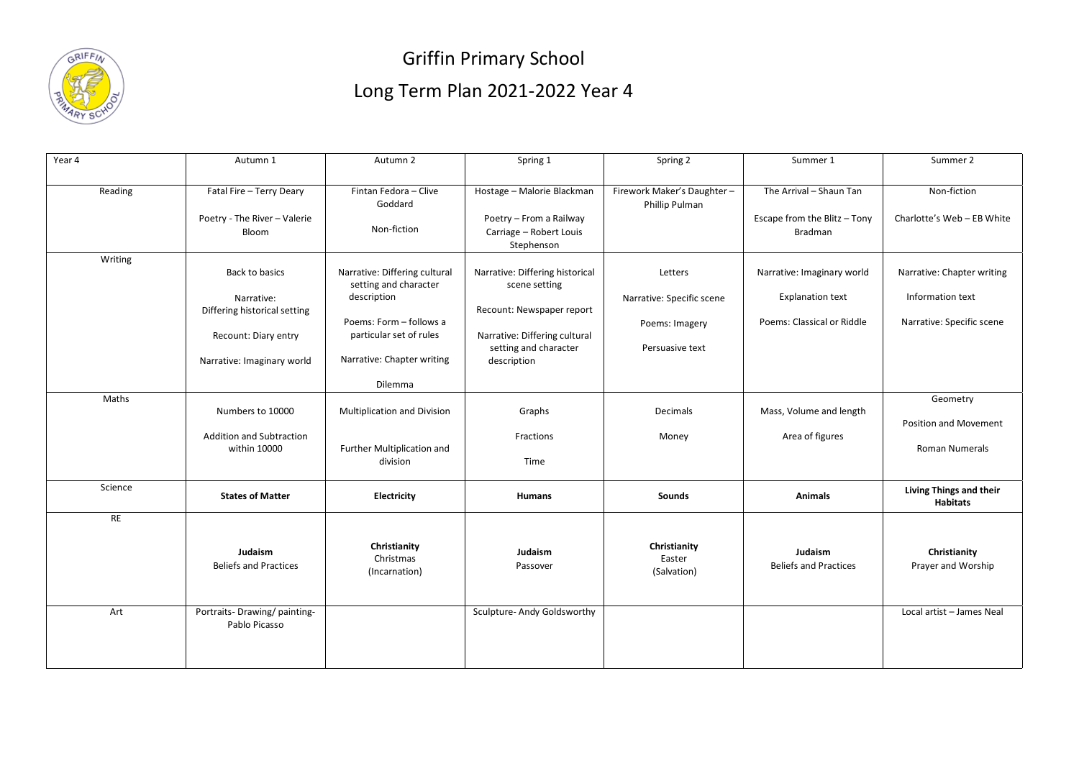

## Griffin Primary School Long Term Plan 2021-2022 Year 4

| Year 4  | Autumn 1                                       | Autumn 2                             | Spring 1                                           | Spring 2                   | Summer 1                                | Summer 2                   |
|---------|------------------------------------------------|--------------------------------------|----------------------------------------------------|----------------------------|-----------------------------------------|----------------------------|
|         |                                                |                                      |                                                    |                            |                                         |                            |
| Reading | Fatal Fire - Terry Deary                       | Fintan Fedora - Clive                | Hostage - Malorie Blackman                         | Firework Maker's Daughter- | The Arrival - Shaun Tan                 | Non-fiction                |
|         |                                                | Goddard                              |                                                    | Phillip Pulman             |                                         |                            |
|         | Poetry - The River - Valerie<br>Bloom          | Non-fiction                          | Poetry - From a Railway<br>Carriage - Robert Louis |                            | Escape from the Blitz - Tony<br>Bradman | Charlotte's Web - EB White |
|         |                                                |                                      | Stephenson                                         |                            |                                         |                            |
| Writing |                                                |                                      |                                                    |                            |                                         |                            |
|         | Back to basics                                 | Narrative: Differing cultural        | Narrative: Differing historical                    | Letters                    | Narrative: Imaginary world              | Narrative: Chapter writing |
|         | Narrative:                                     | setting and character<br>description | scene setting                                      | Narrative: Specific scene  | <b>Explanation text</b>                 | Information text           |
|         | Differing historical setting                   |                                      | Recount: Newspaper report                          |                            |                                         |                            |
|         |                                                | Poems: Form - follows a              |                                                    | Poems: Imagery             | Poems: Classical or Riddle              | Narrative: Specific scene  |
|         | Recount: Diary entry                           | particular set of rules              | Narrative: Differing cultural                      |                            |                                         |                            |
|         | Narrative: Imaginary world                     | Narrative: Chapter writing           | setting and character<br>description               | Persuasive text            |                                         |                            |
|         |                                                |                                      |                                                    |                            |                                         |                            |
|         |                                                | Dilemma                              |                                                    |                            |                                         |                            |
| Maths   | Numbers to 10000                               | <b>Multiplication and Division</b>   | Graphs                                             | Decimals                   | Mass, Volume and length                 | Geometry                   |
|         |                                                |                                      |                                                    |                            |                                         | Position and Movement      |
|         | <b>Addition and Subtraction</b>                |                                      | Fractions                                          | Money                      | Area of figures                         |                            |
|         | within 10000                                   | Further Multiplication and           |                                                    |                            |                                         | <b>Roman Numerals</b>      |
|         |                                                | division                             | Time                                               |                            |                                         |                            |
| Science |                                                |                                      |                                                    |                            |                                         | Living Things and their    |
|         | <b>States of Matter</b>                        | <b>Electricity</b>                   | <b>Humans</b>                                      | <b>Sounds</b>              | <b>Animals</b>                          | <b>Habitats</b>            |
| RE      |                                                |                                      |                                                    |                            |                                         |                            |
|         |                                                |                                      |                                                    |                            |                                         |                            |
|         | Judaism                                        | Christianity<br>Christmas            | Judaism                                            | Christianity<br>Easter     | Judaism                                 | Christianity               |
|         | <b>Beliefs and Practices</b>                   | (Incarnation)                        | Passover                                           | (Salvation)                | <b>Beliefs and Practices</b>            | Prayer and Worship         |
|         |                                                |                                      |                                                    |                            |                                         |                            |
|         |                                                |                                      |                                                    |                            |                                         |                            |
| Art     | Portraits- Drawing/ painting-<br>Pablo Picasso |                                      | Sculpture- Andy Goldsworthy                        |                            |                                         | Local artist - James Neal  |
|         |                                                |                                      |                                                    |                            |                                         |                            |
|         |                                                |                                      |                                                    |                            |                                         |                            |
|         |                                                |                                      |                                                    |                            |                                         |                            |